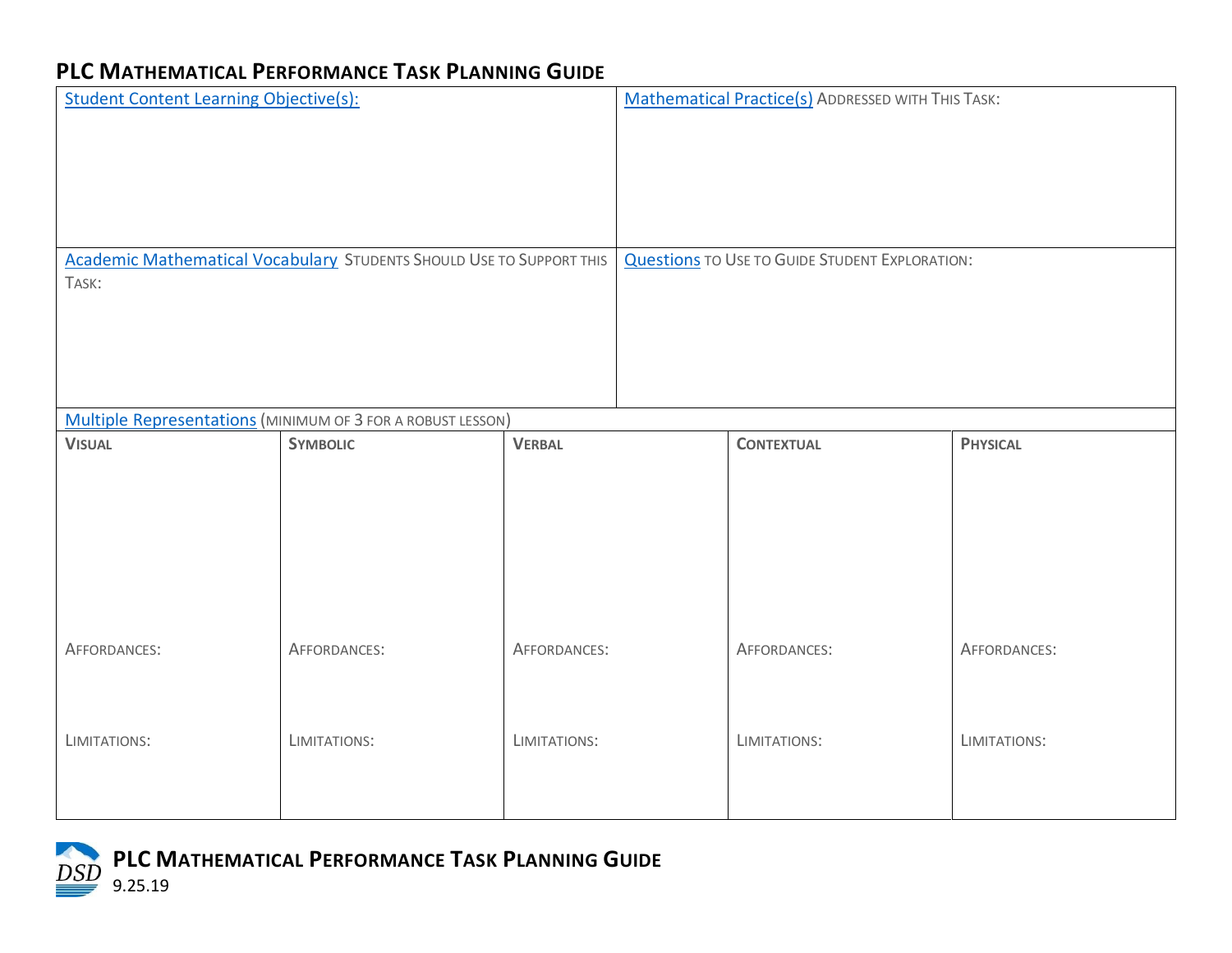## **PLC MATHEMATICAL PERFORMANCE TASK PLANNING GUIDE**

| <b>Student Content Learning Objective(s):</b>                                        |                                                                                |               | <b>Mathematical Practice(s)</b> ADDRESSED WITH THIS TASK: |                   |                 |  |
|--------------------------------------------------------------------------------------|--------------------------------------------------------------------------------|---------------|-----------------------------------------------------------|-------------------|-----------------|--|
| <b>Academic Mathematical Vocabulary STUDENTS SHOULD USE TO SUPPORT THIS</b><br>TASK: |                                                                                |               | <b>Questions TO USE TO GUIDE STUDENT EXPLORATION:</b>     |                   |                 |  |
|                                                                                      |                                                                                |               |                                                           |                   |                 |  |
| <b>VISUAL</b>                                                                        | Multiple Representations (MINIMUM OF 3 FOR A ROBUST LESSON)<br><b>SYMBOLIC</b> | <b>VERBAL</b> |                                                           | <b>CONTEXTUAL</b> | <b>PHYSICAL</b> |  |
|                                                                                      |                                                                                |               |                                                           |                   |                 |  |
| AFFORDANCES:                                                                         | AFFORDANCES:                                                                   | AFFORDANCES:  |                                                           | AFFORDANCES:      | AFFORDANCES:    |  |
| LIMITATIONS:                                                                         | LIMITATIONS:                                                                   | LIMITATIONS:  |                                                           | LIMITATIONS:      | LIMITATIONS:    |  |

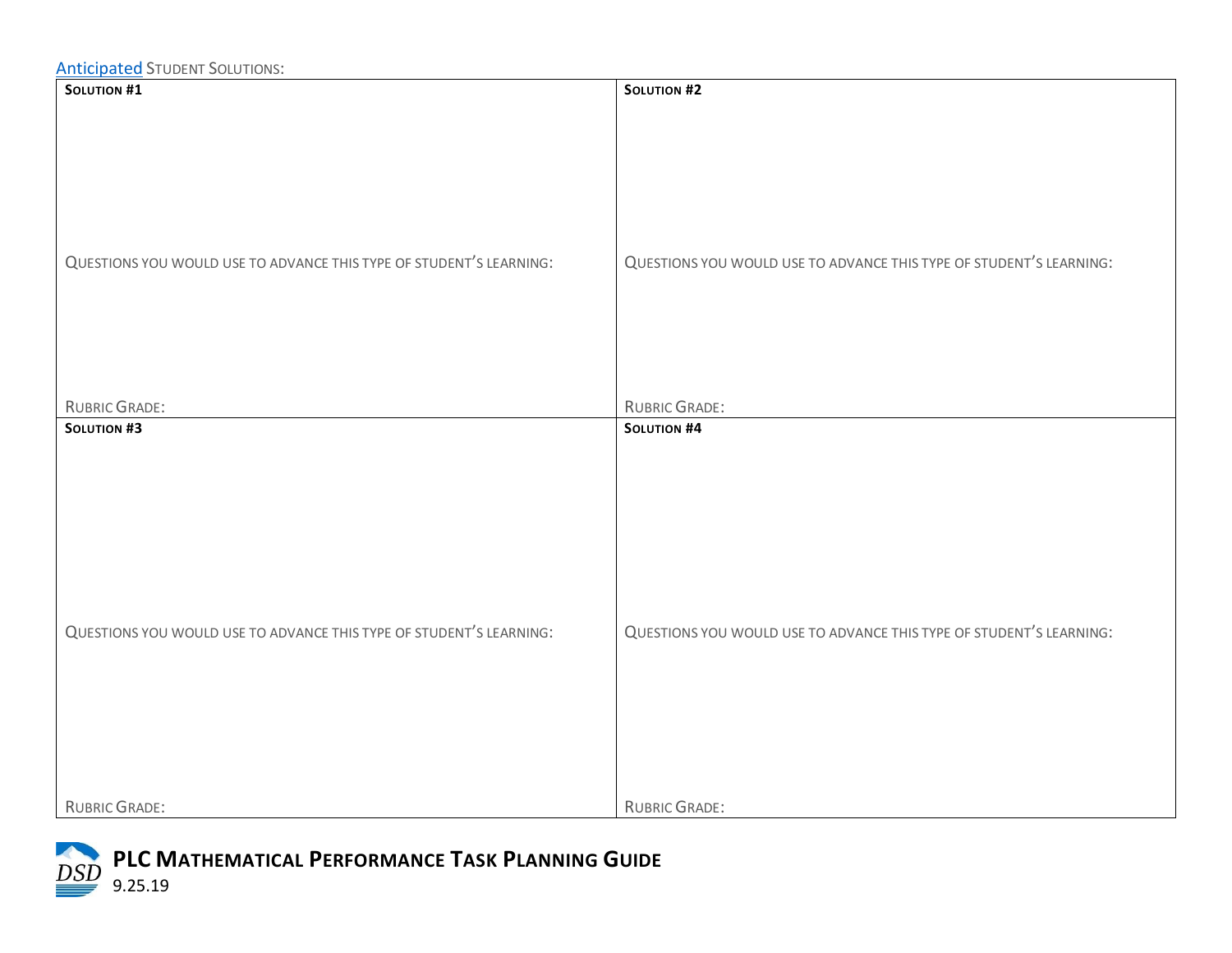| <b>SOLUTION #1</b>                                                                        | <b>SOLUTION #2</b>                                                                        |
|-------------------------------------------------------------------------------------------|-------------------------------------------------------------------------------------------|
| QUESTIONS YOU WOULD USE TO ADVANCE THIS TYPE OF STUDENT'S LEARNING:                       | QUESTIONS YOU WOULD USE TO ADVANCE THIS TYPE OF STUDENT'S LEARNING:                       |
| RUBRIC GRADE:                                                                             | <b>RUBRIC GRADE:</b>                                                                      |
| <b>SOLUTION #3</b><br>QUESTIONS YOU WOULD USE TO ADVANCE THIS TYPE OF STUDENT'S LEARNING: | <b>SOLUTION #4</b><br>QUESTIONS YOU WOULD USE TO ADVANCE THIS TYPE OF STUDENT'S LEARNING: |
| <b>RUBRIC GRADE:</b>                                                                      | <b>RUBRIC GRADE:</b>                                                                      |